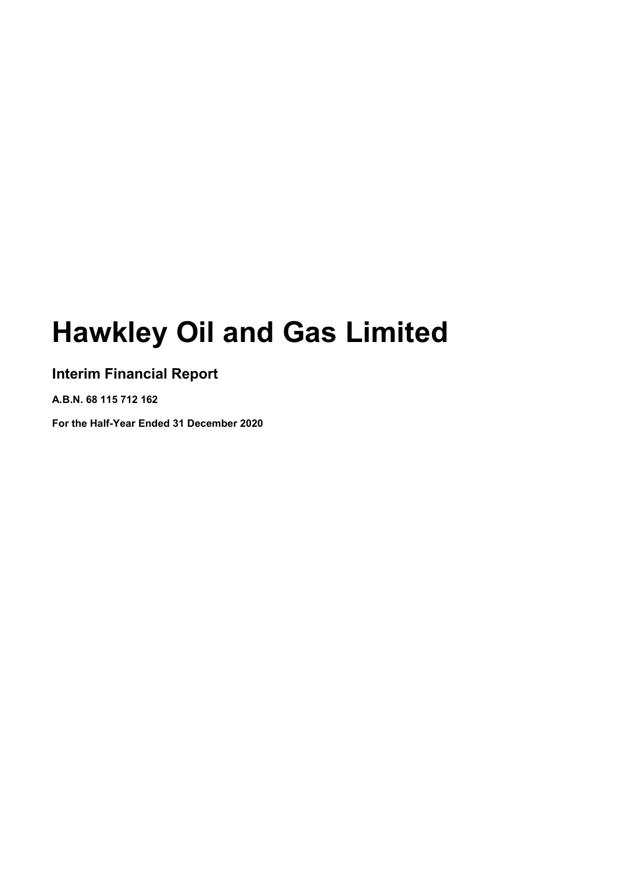# **Hawkley Oil and Gas Limited**

### **Interim Financial Report**

**A.B.N. 68 115 712 162**

**For the Half-Year Ended 31 December 2020**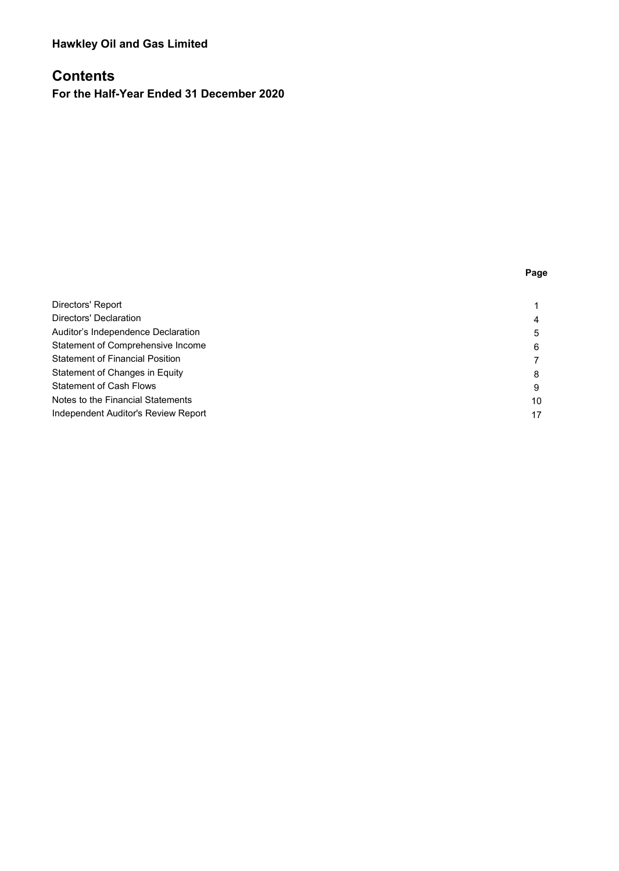### **Hawkley Oil and Gas Limited**

### **Contents**

**For the Half-Year Ended 31 December 2020** 

| Directors' Report                      |    |
|----------------------------------------|----|
| Directors' Declaration                 | 4  |
| Auditor's Independence Declaration     | 5  |
| Statement of Comprehensive Income      | 6  |
| <b>Statement of Financial Position</b> |    |
| Statement of Changes in Equity         | 8  |
| <b>Statement of Cash Flows</b>         | 9  |
| Notes to the Financial Statements      | 10 |
| Independent Auditor's Review Report    |    |
|                                        |    |

**Page**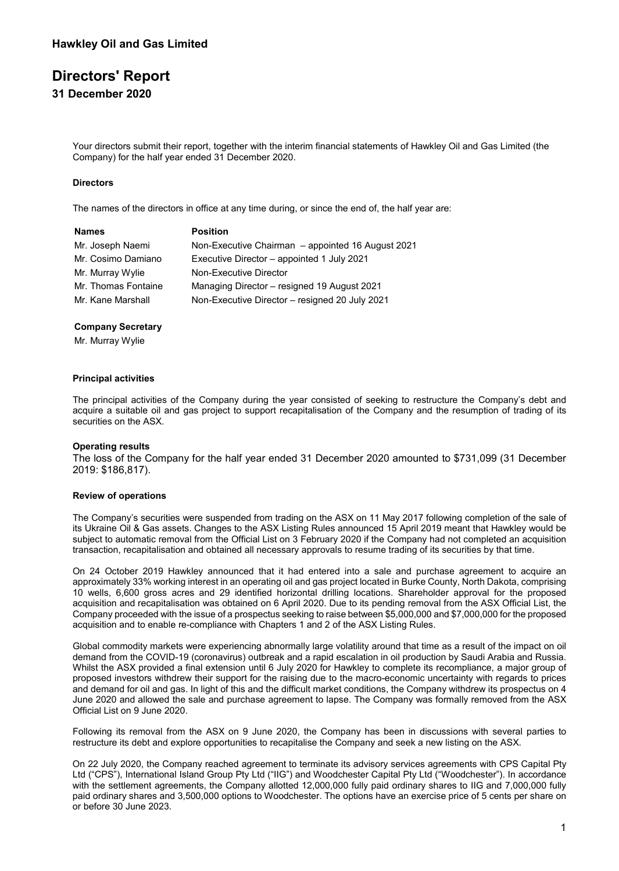### **Directors' Report**

**31 December 2020**

Your directors submit their report, together with the interim financial statements of Hawkley Oil and Gas Limited (the Company) for the half year ended 31 December 2020.

### **Directors**

The names of the directors in office at any time during, or since the end of, the half year are:

| Names               | <b>Position</b>                                   |
|---------------------|---------------------------------------------------|
| Mr. Joseph Naemi    | Non-Executive Chairman - appointed 16 August 2021 |
| Mr. Cosimo Damiano  | Executive Director – appointed 1 July 2021        |
| Mr. Murray Wylie    | Non-Executive Director                            |
| Mr. Thomas Fontaine | Managing Director - resigned 19 August 2021       |
| Mr. Kane Marshall   | Non-Executive Director - resigned 20 July 2021    |

#### **Company Secretary**

Mr. Murray Wylie

#### **Principal activities**

The principal activities of the Company during the year consisted of seeking to restructure the Company's debt and acquire a suitable oil and gas project to support recapitalisation of the Company and the resumption of trading of its securities on the ASX.

#### **Operating results**

The loss of the Company for the half year ended 31 December 2020 amounted to \$731,099 (31 December 2019: \$186,817).

#### **Review of operations**

The Company's securities were suspended from trading on the ASX on 11 May 2017 following completion of the sale of its Ukraine Oil & Gas assets. Changes to the ASX Listing Rules announced 15 April 2019 meant that Hawkley would be subject to automatic removal from the Official List on 3 February 2020 if the Company had not completed an acquisition transaction, recapitalisation and obtained all necessary approvals to resume trading of its securities by that time.

On 24 October 2019 Hawkley announced that it had entered into a sale and purchase agreement to acquire an approximately 33% working interest in an operating oil and gas project located in Burke County, North Dakota, comprising 10 wells, 6,600 gross acres and 29 identified horizontal drilling locations. Shareholder approval for the proposed acquisition and recapitalisation was obtained on 6 April 2020. Due to its pending removal from the ASX Official List, the Company proceeded with the issue of a prospectus seeking to raise between \$5,000,000 and \$7,000,000 for the proposed acquisition and to enable re-compliance with Chapters 1 and 2 of the ASX Listing Rules.

Global commodity markets were experiencing abnormally large volatility around that time as a result of the impact on oil demand from the COVID-19 (coronavirus) outbreak and a rapid escalation in oil production by Saudi Arabia and Russia. Whilst the ASX provided a final extension until 6 July 2020 for Hawkley to complete its recompliance, a major group of proposed investors withdrew their support for the raising due to the macro-economic uncertainty with regards to prices and demand for oil and gas. In light of this and the difficult market conditions, the Company withdrew its prospectus on 4 June 2020 and allowed the sale and purchase agreement to lapse. The Company was formally removed from the ASX Official List on 9 June 2020.

Following its removal from the ASX on 9 June 2020, the Company has been in discussions with several parties to restructure its debt and explore opportunities to recapitalise the Company and seek a new listing on the ASX.

On 22 July 2020, the Company reached agreement to terminate its advisory services agreements with CPS Capital Pty Ltd ("CPS"), International Island Group Pty Ltd ("IIG") and Woodchester Capital Pty Ltd ("Woodchester"). In accordance with the settlement agreements, the Company allotted 12,000,000 fully paid ordinary shares to IIG and 7,000,000 fully paid ordinary shares and 3,500,000 options to Woodchester. The options have an exercise price of 5 cents per share on or before 30 June 2023.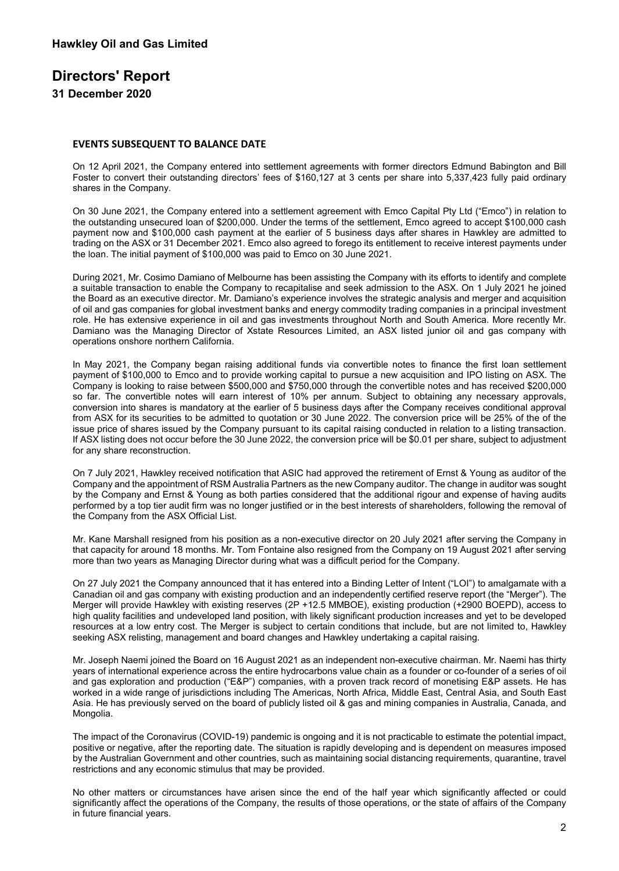### **Directors' Report**

**31 December 2020**

### **EVENTS SUBSEQUENT TO BALANCE DATE**

On 12 April 2021, the Company entered into settlement agreements with former directors Edmund Babington and Bill Foster to convert their outstanding directors' fees of \$160,127 at 3 cents per share into 5,337,423 fully paid ordinary shares in the Company.

On 30 June 2021, the Company entered into a settlement agreement with Emco Capital Pty Ltd ("Emco") in relation to the outstanding unsecured loan of \$200,000. Under the terms of the settlement, Emco agreed to accept \$100,000 cash payment now and \$100,000 cash payment at the earlier of 5 business days after shares in Hawkley are admitted to trading on the ASX or 31 December 2021. Emco also agreed to forego its entitlement to receive interest payments under the loan. The initial payment of \$100,000 was paid to Emco on 30 June 2021.

During 2021, Mr. Cosimo Damiano of Melbourne has been assisting the Company with its efforts to identify and complete a suitable transaction to enable the Company to recapitalise and seek admission to the ASX. On 1 July 2021 he joined the Board as an executive director. Mr. Damiano's experience involves the strategic analysis and merger and acquisition of oil and gas companies for global investment banks and energy commodity trading companies in a principal investment role. He has extensive experience in oil and gas investments throughout North and South America. More recently Mr. Damiano was the Managing Director of Xstate Resources Limited, an ASX listed junior oil and gas company with operations onshore northern California.

In May 2021, the Company began raising additional funds via convertible notes to finance the first loan settlement payment of \$100,000 to Emco and to provide working capital to pursue a new acquisition and IPO listing on ASX. The Company is looking to raise between \$500,000 and \$750,000 through the convertible notes and has received \$200,000 so far. The convertible notes will earn interest of 10% per annum. Subject to obtaining any necessary approvals, conversion into shares is mandatory at the earlier of 5 business days after the Company receives conditional approval from ASX for its securities to be admitted to quotation or 30 June 2022. The conversion price will be 25% of the of the issue price of shares issued by the Company pursuant to its capital raising conducted in relation to a listing transaction. If ASX listing does not occur before the 30 June 2022, the conversion price will be \$0.01 per share, subject to adjustment for any share reconstruction.

On 7 July 2021, Hawkley received notification that ASIC had approved the retirement of Ernst & Young as auditor of the Company and the appointment of RSM Australia Partners as the new Company auditor. The change in auditor was sought by the Company and Ernst & Young as both parties considered that the additional rigour and expense of having audits performed by a top tier audit firm was no longer justified or in the best interests of shareholders, following the removal of the Company from the ASX Official List.

Mr. Kane Marshall resigned from his position as a non-executive director on 20 July 2021 after serving the Company in that capacity for around 18 months. Mr. Tom Fontaine also resigned from the Company on 19 August 2021 after serving more than two years as Managing Director during what was a difficult period for the Company.

On 27 July 2021 the Company announced that it has entered into a Binding Letter of Intent ("LOI") to amalgamate with a Canadian oil and gas company with existing production and an independently certified reserve report (the "Merger"). The Merger will provide Hawkley with existing reserves (2P +12.5 MMBOE), existing production (+2900 BOEPD), access to high quality facilities and undeveloped land position, with likely significant production increases and yet to be developed resources at a low entry cost. The Merger is subject to certain conditions that include, but are not limited to, Hawkley seeking ASX relisting, management and board changes and Hawkley undertaking a capital raising.

Mr. Joseph Naemi joined the Board on 16 August 2021 as an independent non-executive chairman. Mr. Naemi has thirty years of international experience across the entire hydrocarbons value chain as a founder or co-founder of a series of oil and gas exploration and production ("E&P") companies, with a proven track record of monetising E&P assets. He has worked in a wide range of jurisdictions including The Americas, North Africa, Middle East, Central Asia, and South East Asia. He has previously served on the board of publicly listed oil & gas and mining companies in Australia, Canada, and Mongolia.

The impact of the Coronavirus (COVID-19) pandemic is ongoing and it is not practicable to estimate the potential impact, positive or negative, after the reporting date. The situation is rapidly developing and is dependent on measures imposed by the Australian Government and other countries, such as maintaining social distancing requirements, quarantine, travel restrictions and any economic stimulus that may be provided.

No other matters or circumstances have arisen since the end of the half year which significantly affected or could significantly affect the operations of the Company, the results of those operations, or the state of affairs of the Company in future financial years.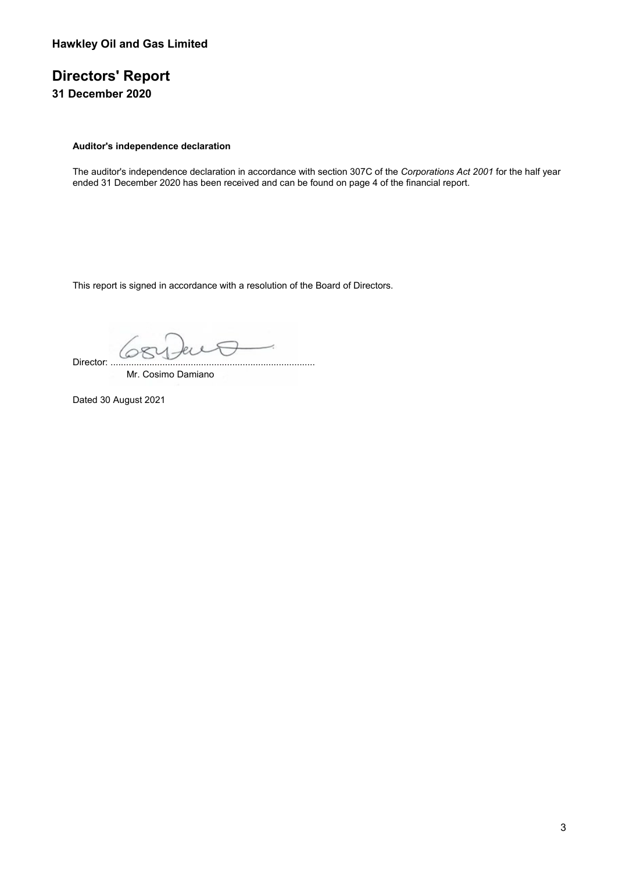## **Directors' Report**

**31 December 2020**

### **Auditor's independence declaration**

The auditor's independence declaration in accordance with section 307C of the *Corporations Act 2001* for the half year ended 31 December 2020 has been received and can be found on page 4 of the financial report.

This report is signed in accordance with a resolution of the Board of Directors.

4 Director: ...............................................................................

Mr. Cosimo Damiano

Dated 30 August 2021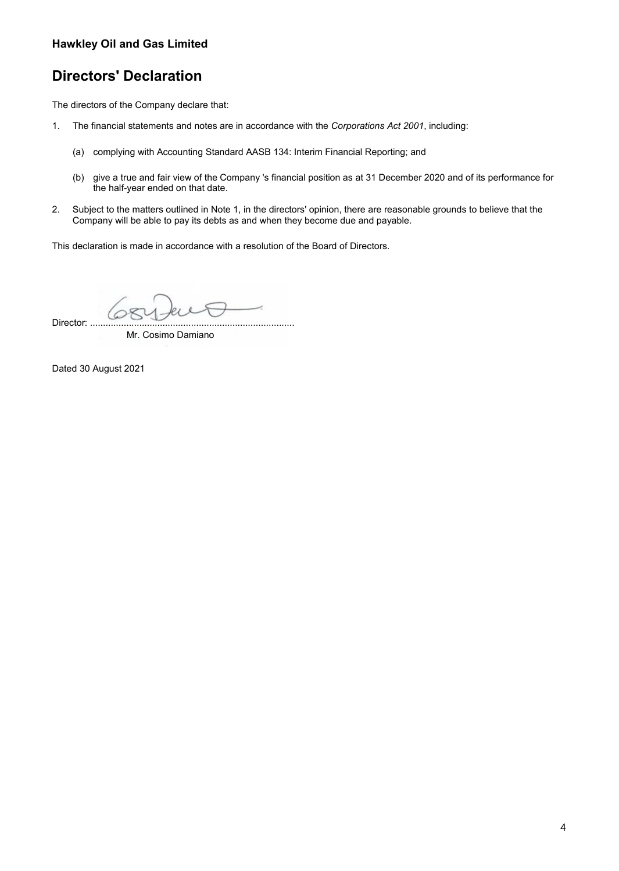### **Hawkley Oil and Gas Limited**

### **Directors' Declaration**

The directors of the Company declare that:

- 1. The financial statements and notes are in accordance with the *Corporations Act 2001*, including:
	- (a) complying with Accounting Standard AASB 134: Interim Financial Reporting; and
	- (b) give a true and fair view of the Company 's financial position as at 31 December 2020 and of its performance for the half-year ended on that date.
- 2. Subject to the matters outlined in Note 1, in the directors' opinion, there are reasonable grounds to believe that the Company will be able to pay its debts as and when they become due and payable.

This declaration is made in accordance with a resolution of the Board of Directors.

Director: ...............................................................................

Mr. Cosimo Damiano

Dated 30 August 2021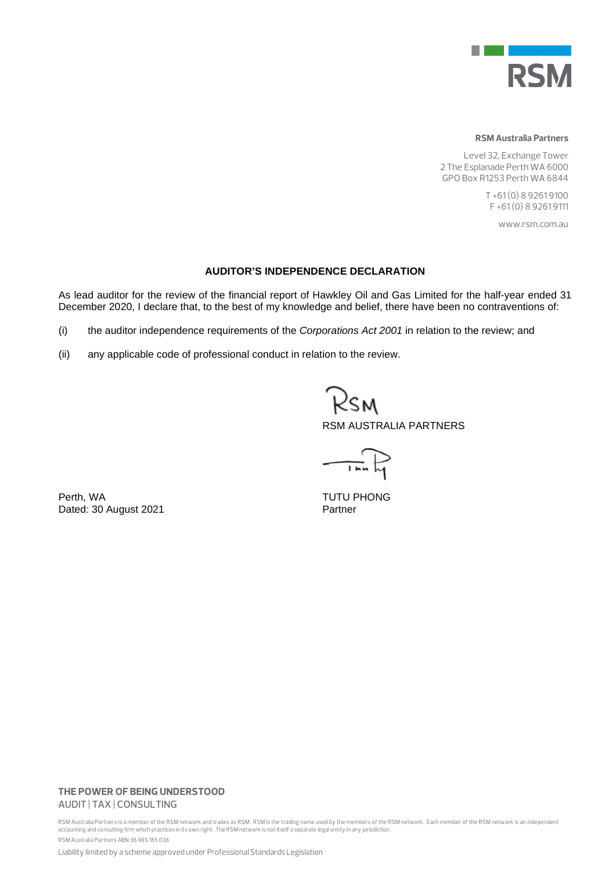

#### **RSM Australia Partners**

Level 32, Exchange Tower 2 The Esplanade Perth WA 6000 GPO Box R1253 Perth WA 6844

> T +61 (0) 8 9261 9100 F +61 (0) 8 9261 9111

> > www.rsm.com.au

### **AUDITOR'S INDEPENDENCE DECLARATION**

As lead auditor for the review of the financial report of Hawkley Oil and Gas Limited for the half-year ended 31 December 2020, I declare that, to the best of my knowledge and belief, there have been no contraventions of:

- (i) the auditor independence requirements of the *Corporations Act 2001* in relation to the review; and
- (ii) any applicable code of professional conduct in relation to the review.

2sm RSM AUSTRALIA PARTNERS

 $-\vec{r}$ 

Perth, WA<br>
Dated: 30 August 2021<br>
Partner Dated: 30 August 2021

### **THE POWER OF BEING UNDERSTOOD** AUDIT | TAX | CONSULTING

RSM Australia Partners is a member of the RSM network and trades as RSM. RSM is the trading name used by the members of the RSM network. Each member of the RSM network is an independent accounting and consulting firm which practices in its own right. The RSM network is not itself a separate legal entity in any jurisdiction. RSM Australia Partners ABN 36 965 185 036

Liability limited by a scheme approved under Professional Standards Legislation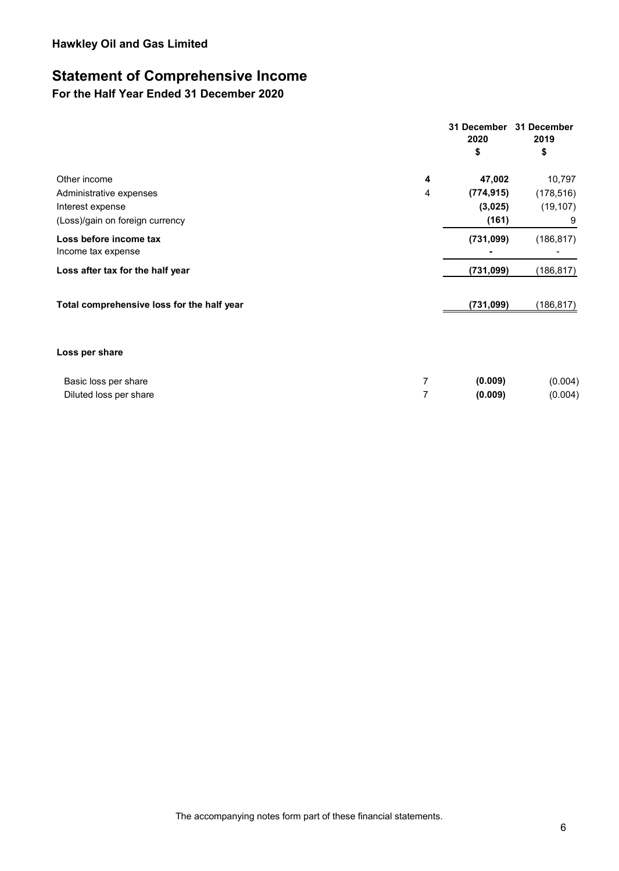### **Statement of Comprehensive Income**

**For the Half Year Ended 31 December 2020** 

|                                              |   | 31 December<br>2020<br>\$ | 31 December<br>2019<br>\$ |
|----------------------------------------------|---|---------------------------|---------------------------|
| Other income                                 | 4 | 47,002                    | 10,797                    |
| Administrative expenses                      | 4 | (774, 915)                | (178, 516)                |
| Interest expense                             |   | (3,025)                   | (19, 107)                 |
| (Loss)/gain on foreign currency              |   | (161)                     | 9                         |
| Loss before income tax<br>Income tax expense |   | (731, 099)                | (186, 817)                |
| Loss after tax for the half year             |   | (731, 099)                | (186,817)                 |
| Total comprehensive loss for the half year   |   | (731, 099)                | (186, 817)                |
| Loss per share                               |   |                           |                           |
| Basic loss per share                         | 7 | (0.009)                   | (0.004)                   |
| Diluted loss per share                       | 7 | (0.009)                   | (0.004)                   |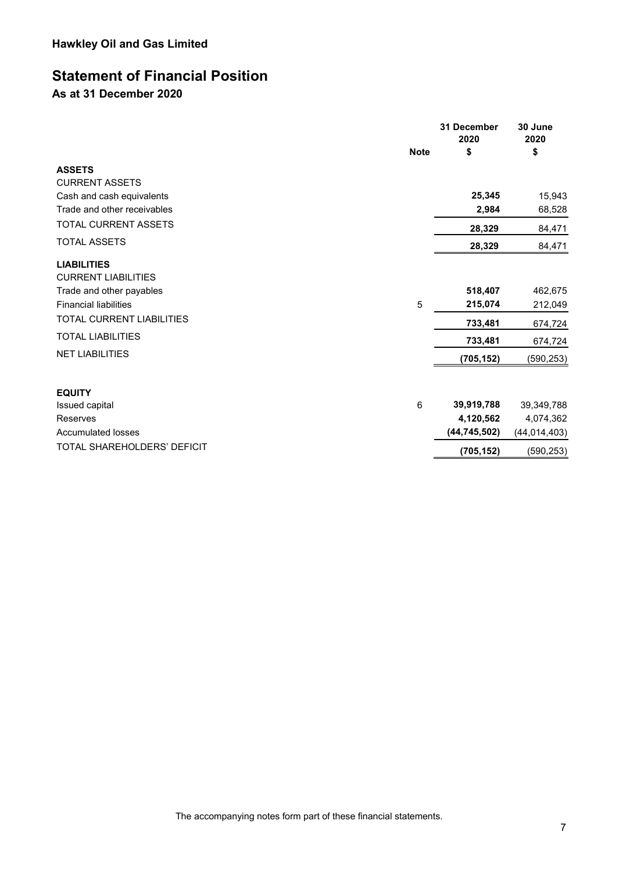### **Statement of Financial Position**

**As at 31 December 2020**

|                                                  | <b>Note</b> | 31 December<br>2020<br>\$ | 30 June<br>2020<br>\$ |
|--------------------------------------------------|-------------|---------------------------|-----------------------|
| <b>ASSETS</b>                                    |             |                           |                       |
| <b>CURRENT ASSETS</b>                            |             |                           |                       |
| Cash and cash equivalents                        |             | 25,345                    | 15,943                |
| Trade and other receivables                      |             | 2,984                     | 68,528                |
| TOTAL CURRENT ASSETS                             |             | 28,329                    | 84,471                |
| <b>TOTAL ASSETS</b>                              |             | 28,329                    | 84,471                |
| <b>LIABILITIES</b><br><b>CURRENT LIABILITIES</b> |             |                           |                       |
| Trade and other payables                         |             | 518,407                   | 462,675               |
| <b>Financial liabilities</b>                     | 5           | 215,074                   | 212,049               |
| <b>TOTAL CURRENT LIABILITIES</b>                 |             | 733,481                   | 674,724               |
| <b>TOTAL LIABILITIES</b>                         |             | 733,481                   | 674,724               |
| <b>NET LIABILITIES</b>                           |             | (705, 152)                | (590, 253)            |
| <b>EQUITY</b>                                    |             |                           |                       |
| Issued capital                                   | 6           | 39,919,788                | 39,349,788            |
| Reserves                                         |             | 4,120,562                 | 4,074,362             |
| <b>Accumulated losses</b>                        |             | (44, 745, 502)            | (44, 014, 403)        |
| TOTAL SHAREHOLDERS' DEFICIT                      |             | (705, 152)                | (590, 253)            |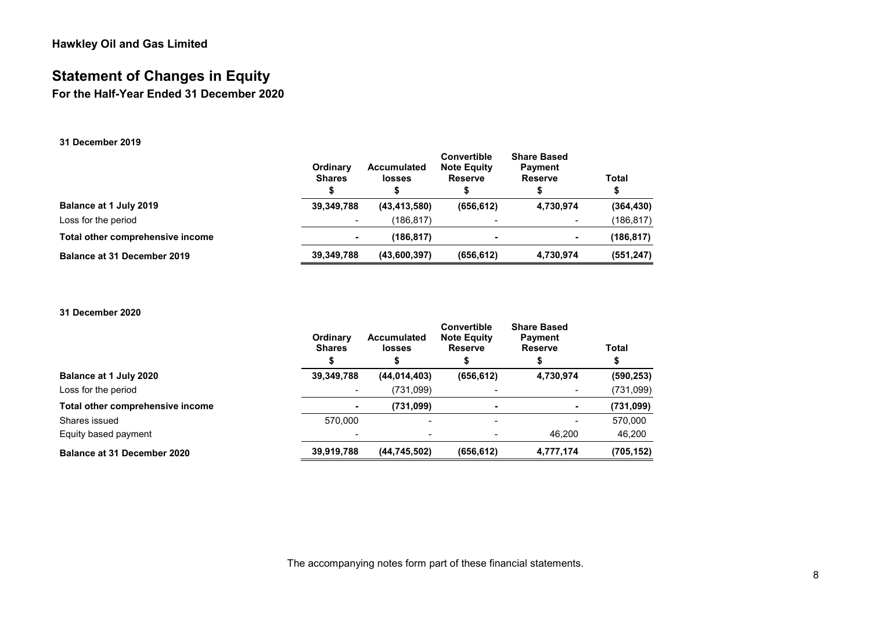### **Statement of Changes in Equity**

**For the Half-Year Ended 31 December 2020**

### **31 December 2019**

|                                  | Ordinary<br><b>Shares</b> | Accumulated<br><b>losses</b> | Convertible<br><b>Note Equity</b><br><b>Reserve</b> | <b>Share Based</b><br><b>Payment</b><br><b>Reserve</b> | Total<br>S |
|----------------------------------|---------------------------|------------------------------|-----------------------------------------------------|--------------------------------------------------------|------------|
| Balance at 1 July 2019           | 39.349.788                | (43, 413, 580)               | (656, 612)                                          | 4,730,974                                              | (364, 430) |
| Loss for the period              |                           | (186.817)                    |                                                     |                                                        | (186,817)  |
| Total other comprehensive income | $\overline{\phantom{a}}$  | (186, 817)                   |                                                     |                                                        | (186, 817) |
| Balance at 31 December 2019      | 39,349,788                | (43,600,397)                 | (656, 612)                                          | 4,730,974                                              | (551, 247) |

#### **31 December 2020**

|                                  | Ordinary<br><b>Shares</b> | <b>Accumulated</b><br><b>losses</b> | Convertible<br><b>Note Equity</b><br><b>Reserve</b> | <b>Share Based</b><br><b>Payment</b><br><b>Reserve</b> | Total      |
|----------------------------------|---------------------------|-------------------------------------|-----------------------------------------------------|--------------------------------------------------------|------------|
| Balance at 1 July 2020           | 39,349,788                | (44, 014, 403)                      | (656, 612)                                          | 4,730,974                                              | (590, 253) |
| Loss for the period              |                           | (731,099)                           |                                                     |                                                        | (731,099)  |
| Total other comprehensive income | ۰                         | (731,099)                           |                                                     |                                                        | (731,099)  |
| Shares issued                    | 570.000                   | $\overline{\phantom{a}}$            |                                                     |                                                        | 570,000    |
| Equity based payment             |                           |                                     |                                                     | 46.200                                                 | 46,200     |
| Balance at 31 December 2020      | 39,919,788                | (44,745,502)                        | (656, 612)                                          | 4,777,174                                              | (705, 152) |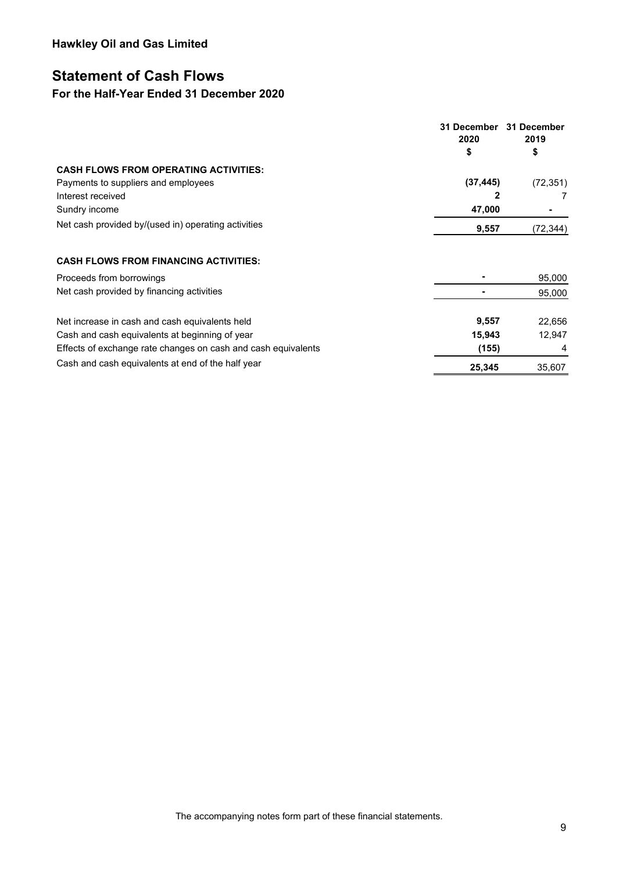### **Statement of Cash Flows**

### **For the Half-Year Ended 31 December 2020**

|                                                               | 31 December<br>2020<br>\$ | 31 December<br>2019<br>\$ |
|---------------------------------------------------------------|---------------------------|---------------------------|
| <b>CASH FLOWS FROM OPERATING ACTIVITIES:</b>                  |                           |                           |
| Payments to suppliers and employees                           | (37, 445)                 | (72, 351)                 |
| Interest received                                             | 2                         |                           |
| Sundry income                                                 | 47,000                    |                           |
| Net cash provided by/(used in) operating activities           | 9,557                     | (72, 344)                 |
| <b>CASH FLOWS FROM FINANCING ACTIVITIES:</b>                  |                           |                           |
| Proceeds from borrowings                                      |                           | 95,000                    |
| Net cash provided by financing activities                     |                           | 95,000                    |
| Net increase in cash and cash equivalents held                | 9,557                     | 22,656                    |
| Cash and cash equivalents at beginning of year                | 15,943                    | 12,947                    |
| Effects of exchange rate changes on cash and cash equivalents | (155)                     | 4                         |
| Cash and cash equivalents at end of the half year             | 25,345                    | 35,607                    |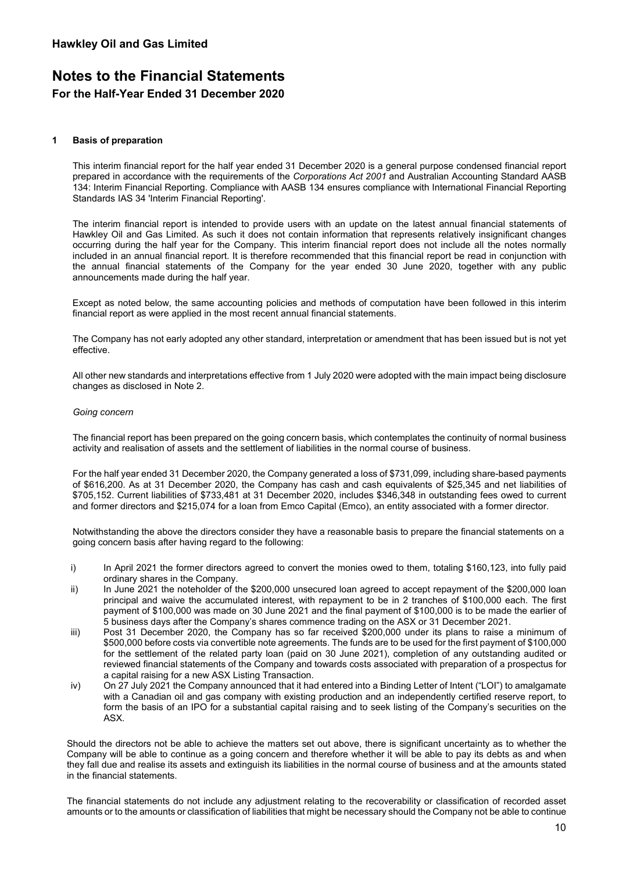### **1 Basis of preparation**

This interim financial report for the half year ended 31 December 2020 is a general purpose condensed financial report prepared in accordance with the requirements of the *Corporations Act 2001* and Australian Accounting Standard AASB 134: Interim Financial Reporting. Compliance with AASB 134 ensures compliance with International Financial Reporting Standards IAS 34 'Interim Financial Reporting'.

The interim financial report is intended to provide users with an update on the latest annual financial statements of Hawkley Oil and Gas Limited. As such it does not contain information that represents relatively insignificant changes occurring during the half year for the Company. This interim financial report does not include all the notes normally included in an annual financial report. It is therefore recommended that this financial report be read in conjunction with the annual financial statements of the Company for the year ended 30 June 2020, together with any public announcements made during the half year.

Except as noted below, the same accounting policies and methods of computation have been followed in this interim financial report as were applied in the most recent annual financial statements.

The Company has not early adopted any other standard, interpretation or amendment that has been issued but is not yet effective.

All other new standards and interpretations effective from 1 July 2020 were adopted with the main impact being disclosure changes as disclosed in Note 2.

#### *Going concern*

The financial report has been prepared on the going concern basis, which contemplates the continuity of normal business activity and realisation of assets and the settlement of liabilities in the normal course of business.

For the half year ended 31 December 2020, the Company generated a loss of \$731,099, including share-based payments of \$616,200. As at 31 December 2020, the Company has cash and cash equivalents of \$25,345 and net liabilities of \$705,152. Current liabilities of \$733,481 at 31 December 2020, includes \$346,348 in outstanding fees owed to current and former directors and \$215,074 for a loan from Emco Capital (Emco), an entity associated with a former director.

Notwithstanding the above the directors consider they have a reasonable basis to prepare the financial statements on a going concern basis after having regard to the following:

- i) In April 2021 the former directors agreed to convert the monies owed to them, totaling \$160,123, into fully paid ordinary shares in the Company.
- ii) In June 2021 the noteholder of the \$200,000 unsecured loan agreed to accept repayment of the \$200,000 loan principal and waive the accumulated interest, with repayment to be in 2 tranches of \$100,000 each. The first payment of \$100,000 was made on 30 June 2021 and the final payment of \$100,000 is to be made the earlier of 5 business days after the Company's shares commence trading on the ASX or 31 December 2021.
- iii) Post 31 December 2020, the Company has so far received \$200,000 under its plans to raise a minimum of \$500,000 before costs via convertible note agreements. The funds are to be used for the first payment of \$100,000 for the settlement of the related party loan (paid on 30 June 2021), completion of any outstanding audited or reviewed financial statements of the Company and towards costs associated with preparation of a prospectus for a capital raising for a new ASX Listing Transaction.
- iv) On 27 July 2021 the Company announced that it had entered into a Binding Letter of Intent ("LOI") to amalgamate with a Canadian oil and gas company with existing production and an independently certified reserve report, to form the basis of an IPO for a substantial capital raising and to seek listing of the Company's securities on the ASX.

Should the directors not be able to achieve the matters set out above, there is significant uncertainty as to whether the Company will be able to continue as a going concern and therefore whether it will be able to pay its debts as and when they fall due and realise its assets and extinguish its liabilities in the normal course of business and at the amounts stated in the financial statements.

The financial statements do not include any adjustment relating to the recoverability or classification of recorded asset amounts or to the amounts or classification of liabilities that might be necessary should the Company not be able to continue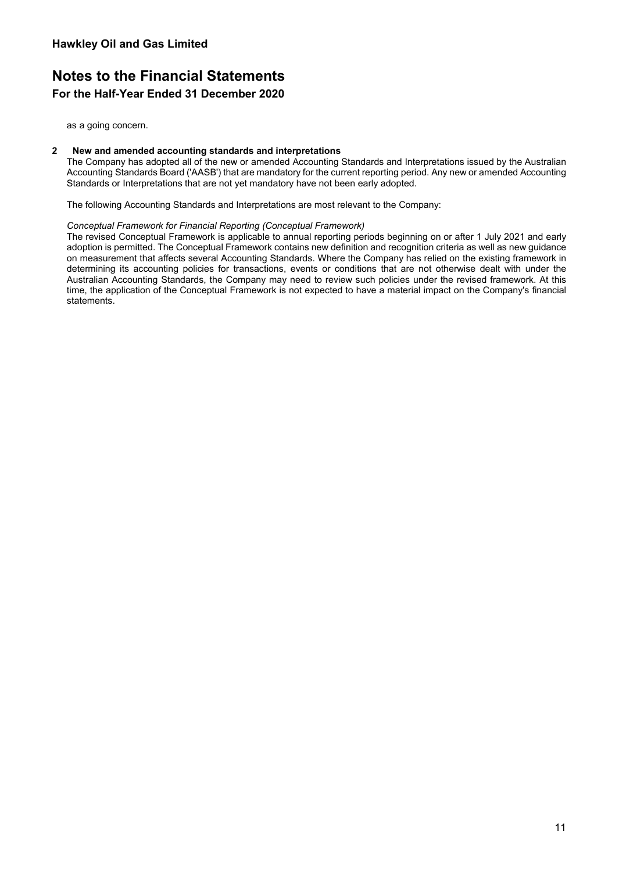as a going concern.

### **2 New and amended accounting standards and interpretations**

The Company has adopted all of the new or amended Accounting Standards and Interpretations issued by the Australian Accounting Standards Board ('AASB') that are mandatory for the current reporting period. Any new or amended Accounting Standards or Interpretations that are not yet mandatory have not been early adopted.

The following Accounting Standards and Interpretations are most relevant to the Company:

#### *Conceptual Framework for Financial Reporting (Conceptual Framework)*

The revised Conceptual Framework is applicable to annual reporting periods beginning on or after 1 July 2021 and early adoption is permitted. The Conceptual Framework contains new definition and recognition criteria as well as new guidance on measurement that affects several Accounting Standards. Where the Company has relied on the existing framework in determining its accounting policies for transactions, events or conditions that are not otherwise dealt with under the Australian Accounting Standards, the Company may need to review such policies under the revised framework. At this time, the application of the Conceptual Framework is not expected to have a material impact on the Company's financial statements.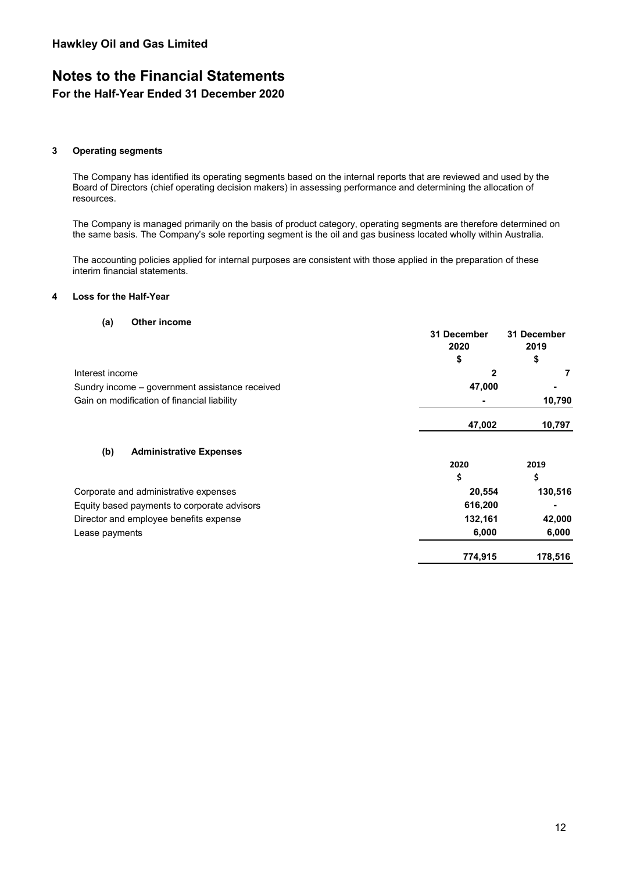# **Notes to the Financial Statements**

### **For the Half-Year Ended 31 December 2020**

### **3 Operating segments**

The Company has identified its operating segments based on the internal reports that are reviewed and used by the Board of Directors (chief operating decision makers) in assessing performance and determining the allocation of resources.

The Company is managed primarily on the basis of product category, operating segments are therefore determined on the same basis. The Company's sole reporting segment is the oil and gas business located wholly within Australia.

The accounting policies applied for internal purposes are consistent with those applied in the preparation of these interim financial statements.

### **4 Loss for the Half-Year**

#### **(a) Other income**

|                                                | 31 December<br>2020 | 31 December<br>2019 |
|------------------------------------------------|---------------------|---------------------|
|                                                | \$                  | \$                  |
| Interest income                                | 2                   |                     |
| Sundry income - government assistance received | 47,000              |                     |
| Gain on modification of financial liability    |                     | 10,790              |
|                                                | 47,002              | 10,797              |
| (b)<br><b>Administrative Expenses</b>          |                     |                     |
|                                                | 2020                | 2019                |
|                                                | \$                  | \$                  |
| Corporate and administrative expenses          | 20,554              | 130,516             |
| Equity based payments to corporate advisors    | 616,200             |                     |
| Director and employee benefits expense         | 132,161             | 42,000              |
| Lease payments                                 | 6,000               | 6,000               |
|                                                | 774,915             | 178,516             |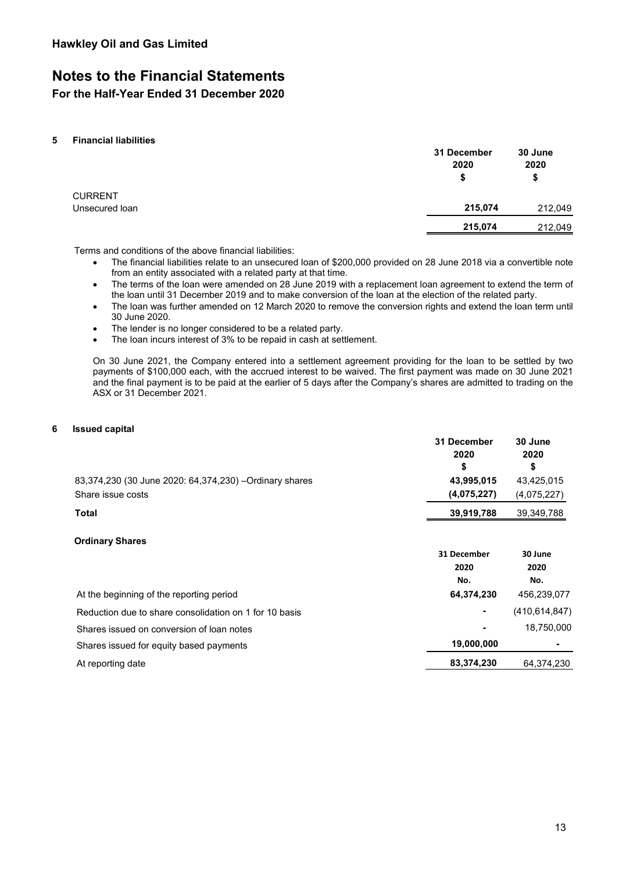### **Notes to the Financial Statements**

**For the Half-Year Ended 31 December 2020**

### **5 Financial liabilities**

|                                  | 31 December<br>2020<br>\$ | 30 June<br>2020<br>\$ |
|----------------------------------|---------------------------|-----------------------|
| <b>CURRENT</b><br>Unsecured loan | 215,074                   | 212,049               |
|                                  | 215,074                   | 212,049               |

Terms and conditions of the above financial liabilities:

- The financial liabilities relate to an unsecured loan of \$200,000 provided on 28 June 2018 via a convertible note from an entity associated with a related party at that time.
- The terms of the loan were amended on 28 June 2019 with a replacement loan agreement to extend the term of the loan until 31 December 2019 and to make conversion of the loan at the election of the related party.
- The loan was further amended on 12 March 2020 to remove the conversion rights and extend the loan term until 30 June 2020.
- The lender is no longer considered to be a related party.
- The loan incurs interest of 3% to be repaid in cash at settlement.

On 30 June 2021, the Company entered into a settlement agreement providing for the loan to be settled by two payments of \$100,000 each, with the accrued interest to be waived. The first payment was made on 30 June 2021 and the final payment is to be paid at the earlier of 5 days after the Company's shares are admitted to trading on the ASX or 31 December 2021.

### **6 Issued capital**

|                                                                              | 31 December<br>2020<br>\$  | 30 June<br>2020<br>\$     |
|------------------------------------------------------------------------------|----------------------------|---------------------------|
| 83,374,230 (30 June 2020: 64,374,230) - Ordinary shares<br>Share issue costs | 43,995,015<br>(4,075,227)  | 43,425,015<br>(4,075,227) |
| <b>Total</b>                                                                 | 39,919,788                 | 39,349,788                |
| <b>Ordinary Shares</b>                                                       | 31 December<br>2020<br>No. | 30 June<br>2020<br>No.    |
| At the beginning of the reporting period                                     | 64,374,230                 | 456,239,077               |
| Reduction due to share consolidation on 1 for 10 basis                       |                            | (410, 614, 847)           |
| Shares issued on conversion of loan notes                                    |                            | 18,750,000                |
| Shares issued for equity based payments                                      | 19,000,000                 |                           |
| At reporting date                                                            | 83,374,230                 | 64,374,230                |
|                                                                              |                            |                           |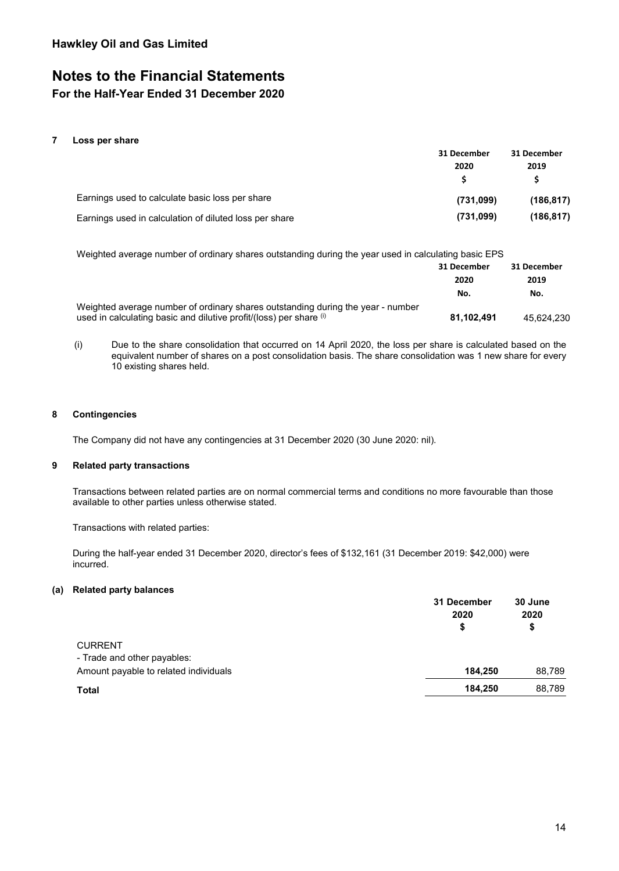# **Notes to the Financial Statements**

### **For the Half-Year Ended 31 December 2020**

### **7 Loss per share**

|                                                        | 31 December | 31 December |  |
|--------------------------------------------------------|-------------|-------------|--|
|                                                        | 2020        | 2019        |  |
|                                                        |             |             |  |
| Earnings used to calculate basic loss per share        | (731,099)   | (186.817)   |  |
| Earnings used in calculation of diluted loss per share | (731,099)   | (186, 817)  |  |

Weighted average number of ordinary shares outstanding during the year used in calculating basic EPS

|                                                                                                                                                       | 31 December<br>2020<br>No. | 31 December<br>2019<br>No. |
|-------------------------------------------------------------------------------------------------------------------------------------------------------|----------------------------|----------------------------|
| Weighted average number of ordinary shares outstanding during the year - number<br>used in calculating basic and dilutive profit/(loss) per share (i) | 81.102.491                 | 45.624.230                 |

(i) Due to the share consolidation that occurred on 14 April 2020, the loss per share is calculated based on the equivalent number of shares on a post consolidation basis. The share consolidation was 1 new share for every 10 existing shares held.

### **8 Contingencies**

The Company did not have any contingencies at 31 December 2020 (30 June 2020: nil).

### **9 Related party transactions**

Transactions between related parties are on normal commercial terms and conditions no more favourable than those available to other parties unless otherwise stated.

Transactions with related parties:

During the half-year ended 31 December 2020, director's fees of \$132,161 (31 December 2019: \$42,000) were incurred.

### **(a) Related party balances**

|                                       | 31 December<br>2020<br>\$ | 30 June<br>2020<br>\$ |
|---------------------------------------|---------------------------|-----------------------|
| <b>CURRENT</b>                        |                           |                       |
| - Trade and other payables:           |                           |                       |
| Amount payable to related individuals | 184,250                   | 88,789                |
| <b>Total</b>                          | 184,250                   | 88,789                |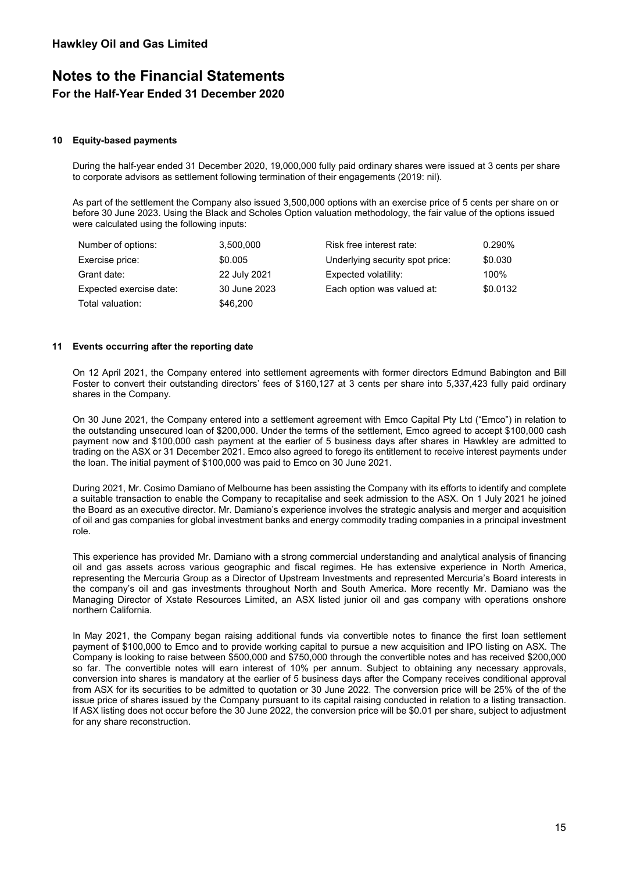#### **10 Equity-based payments**

During the half-year ended 31 December 2020, 19,000,000 fully paid ordinary shares were issued at 3 cents per share to corporate advisors as settlement following termination of their engagements (2019: nil).

As part of the settlement the Company also issued 3,500,000 options with an exercise price of 5 cents per share on or before 30 June 2023. Using the Black and Scholes Option valuation methodology, the fair value of the options issued were calculated using the following inputs:

| Number of options:      | 3,500,000    | Risk free interest rate:        | $0.290\%$ |
|-------------------------|--------------|---------------------------------|-----------|
| Exercise price:         | \$0.005      | Underlying security spot price: | \$0.030   |
| Grant date:             | 22 July 2021 | Expected volatility:            | 100%      |
| Expected exercise date: | 30 June 2023 | Each option was valued at:      | \$0.0132  |
| Total valuation:        | \$46,200     |                                 |           |

#### **11 Events occurring after the reporting date**

On 12 April 2021, the Company entered into settlement agreements with former directors Edmund Babington and Bill Foster to convert their outstanding directors' fees of \$160,127 at 3 cents per share into 5,337,423 fully paid ordinary shares in the Company.

On 30 June 2021, the Company entered into a settlement agreement with Emco Capital Pty Ltd ("Emco") in relation to the outstanding unsecured loan of \$200,000. Under the terms of the settlement, Emco agreed to accept \$100,000 cash payment now and \$100,000 cash payment at the earlier of 5 business days after shares in Hawkley are admitted to trading on the ASX or 31 December 2021. Emco also agreed to forego its entitlement to receive interest payments under the loan. The initial payment of \$100,000 was paid to Emco on 30 June 2021.

During 2021, Mr. Cosimo Damiano of Melbourne has been assisting the Company with its efforts to identify and complete a suitable transaction to enable the Company to recapitalise and seek admission to the ASX. On 1 July 2021 he joined the Board as an executive director. Mr. Damiano's experience involves the strategic analysis and merger and acquisition of oil and gas companies for global investment banks and energy commodity trading companies in a principal investment role.

This experience has provided Mr. Damiano with a strong commercial understanding and analytical analysis of financing oil and gas assets across various geographic and fiscal regimes. He has extensive experience in North America, representing the Mercuria Group as a Director of Upstream Investments and represented Mercuria's Board interests in the company's oil and gas investments throughout North and South America. More recently Mr. Damiano was the Managing Director of Xstate Resources Limited, an ASX listed junior oil and gas company with operations onshore northern California.

In May 2021, the Company began raising additional funds via convertible notes to finance the first loan settlement payment of \$100,000 to Emco and to provide working capital to pursue a new acquisition and IPO listing on ASX. The Company is looking to raise between \$500,000 and \$750,000 through the convertible notes and has received \$200,000 so far. The convertible notes will earn interest of 10% per annum. Subject to obtaining any necessary approvals, conversion into shares is mandatory at the earlier of 5 business days after the Company receives conditional approval from ASX for its securities to be admitted to quotation or 30 June 2022. The conversion price will be 25% of the of the issue price of shares issued by the Company pursuant to its capital raising conducted in relation to a listing transaction. If ASX listing does not occur before the 30 June 2022, the conversion price will be \$0.01 per share, subject to adjustment for any share reconstruction.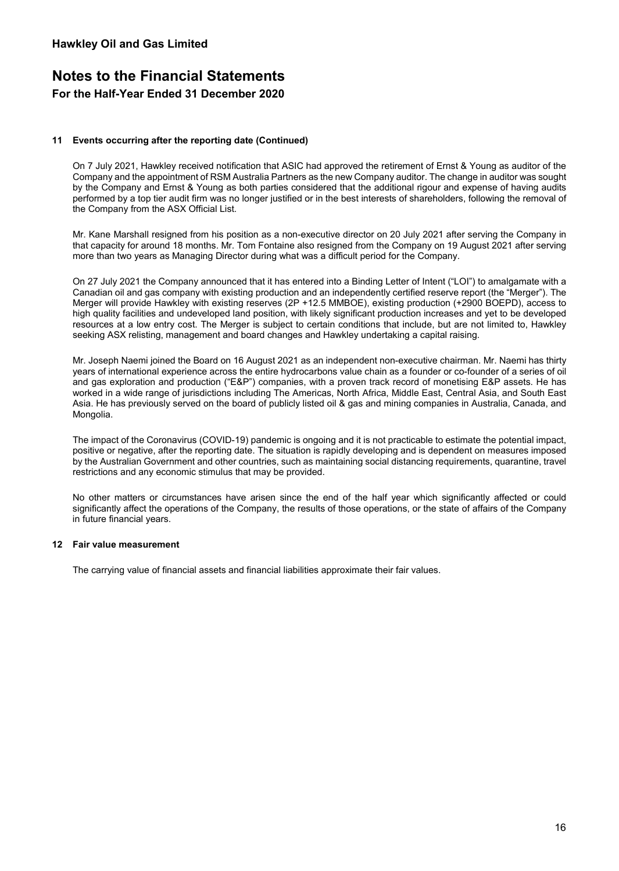### **11 Events occurring after the reporting date (Continued)**

On 7 July 2021, Hawkley received notification that ASIC had approved the retirement of Ernst & Young as auditor of the Company and the appointment of RSM Australia Partners as the new Company auditor. The change in auditor was sought by the Company and Ernst & Young as both parties considered that the additional rigour and expense of having audits performed by a top tier audit firm was no longer justified or in the best interests of shareholders, following the removal of the Company from the ASX Official List.

Mr. Kane Marshall resigned from his position as a non-executive director on 20 July 2021 after serving the Company in that capacity for around 18 months. Mr. Tom Fontaine also resigned from the Company on 19 August 2021 after serving more than two years as Managing Director during what was a difficult period for the Company.

On 27 July 2021 the Company announced that it has entered into a Binding Letter of Intent ("LOI") to amalgamate with a Canadian oil and gas company with existing production and an independently certified reserve report (the "Merger"). The Merger will provide Hawkley with existing reserves (2P +12.5 MMBOE), existing production (+2900 BOEPD), access to high quality facilities and undeveloped land position, with likely significant production increases and yet to be developed resources at a low entry cost. The Merger is subject to certain conditions that include, but are not limited to, Hawkley seeking ASX relisting, management and board changes and Hawkley undertaking a capital raising.

Mr. Joseph Naemi joined the Board on 16 August 2021 as an independent non-executive chairman. Mr. Naemi has thirty years of international experience across the entire hydrocarbons value chain as a founder or co-founder of a series of oil and gas exploration and production ("E&P") companies, with a proven track record of monetising E&P assets. He has worked in a wide range of jurisdictions including The Americas, North Africa, Middle East, Central Asia, and South East Asia. He has previously served on the board of publicly listed oil & gas and mining companies in Australia, Canada, and Mongolia.

The impact of the Coronavirus (COVID-19) pandemic is ongoing and it is not practicable to estimate the potential impact, positive or negative, after the reporting date. The situation is rapidly developing and is dependent on measures imposed by the Australian Government and other countries, such as maintaining social distancing requirements, quarantine, travel restrictions and any economic stimulus that may be provided.

No other matters or circumstances have arisen since the end of the half year which significantly affected or could significantly affect the operations of the Company, the results of those operations, or the state of affairs of the Company in future financial years.

### **12 Fair value measurement**

The carrying value of financial assets and financial liabilities approximate their fair values.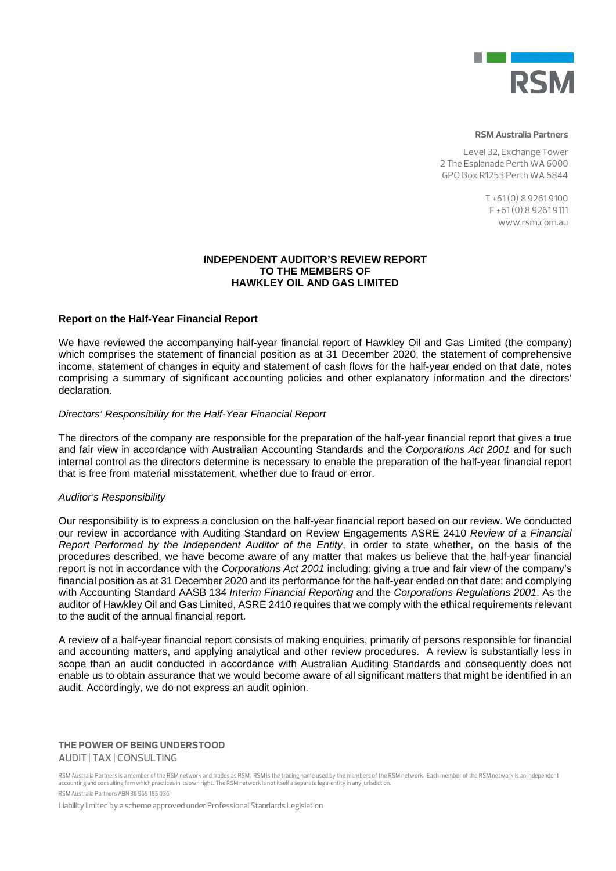

#### **RSM Australia Partners**

Level 32, Exchange Tower 2 The Esplanade Perth WA 6000 GPO Box R1253 Perth WA 6844

> T +61 (0) 8 9261 9100  $F + 61(0) 8 92619111$ www.rsm.com.au

### **INDEPENDENT AUDITOR'S REVIEW REPORT TO THE MEMBERS OF HAWKLEY OIL AND GAS LIMITED**

### **Report on the Half-Year Financial Report**

We have reviewed the accompanying half-year financial report of Hawkley Oil and Gas Limited (the company) which comprises the statement of financial position as at 31 December 2020, the statement of comprehensive income, statement of changes in equity and statement of cash flows for the half-year ended on that date, notes comprising a summary of significant accounting policies and other explanatory information and the directors' declaration.

### *Directors' Responsibility for the Half-Year Financial Report*

The directors of the company are responsible for the preparation of the half-year financial report that gives a true and fair view in accordance with Australian Accounting Standards and the *Corporations Act 2001* and for such internal control as the directors determine is necessary to enable the preparation of the half-year financial report that is free from material misstatement, whether due to fraud or error.

#### *Auditor's Responsibility*

Our responsibility is to express a conclusion on the half-year financial report based on our review. We conducted our review in accordance with Auditing Standard on Review Engagements ASRE 2410 *Review of a Financial Report Performed by the Independent Auditor of the Entity*, in order to state whether, on the basis of the procedures described, we have become aware of any matter that makes us believe that the half-year financial report is not in accordance with the *Corporations Act 2001* including: giving a true and fair view of the company's financial position as at 31 December 2020 and its performance for the half-year ended on that date; and complying with Accounting Standard AASB 134 *Interim Financial Reporting* and the *Corporations Regulations 2001*. As the auditor of Hawkley Oil and Gas Limited, ASRE 2410 requires that we comply with the ethical requirements relevant to the audit of the annual financial report.

A review of a half-year financial report consists of making enquiries, primarily of persons responsible for financial and accounting matters, and applying analytical and other review procedures. A review is substantially less in scope than an audit conducted in accordance with Australian Auditing Standards and consequently does not enable us to obtain assurance that we would become aware of all significant matters that might be identified in an audit. Accordingly, we do not express an audit opinion.

#### **THE POWER OF BEING UNDERSTOOD** AUDIT | TAX | CONSULTING

RSM Australia Partners is a member of the RSM network and trades as RSM. RSM is the trading name used by the members of the RSM network. Each member of the RSM network is an independent accounting and consulting firm which practices in its own right. The RSM network is not itself a separate legal entity in any jurisdiction. RSM Australia Partners ABN 36 965 185 036

Liability limited by a scheme approved under Professional Standards Legislation